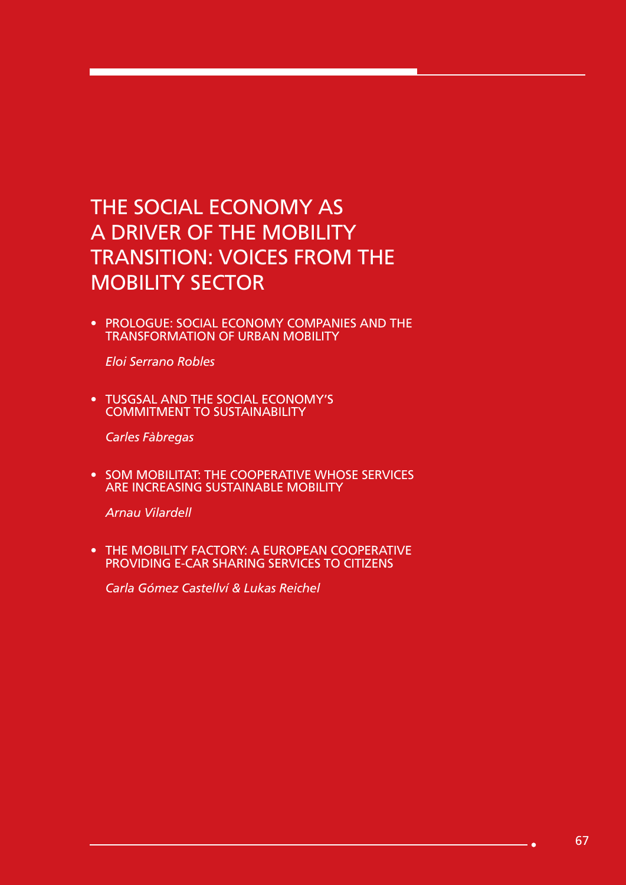## THE SOCIAL ECONOMY AS A DRIVER OF THE MOBILITY TRANSITION: VOICES FROM THE MOBILITY SECTOR

• PROLOGUE: SOCIAL ECONOMY COMPANIES AND THE TRANSFORMATION OF URBAN MOBILITY

*Eloi Serrano Robles*

• TUSGSAL AND THE SOCIAL ECONOMY'S COMMITMENT TO SUSTAINABILITY

*Carles Fàbregas*

• SOM MOBILITAT: THE COOPERATIVE WHOSE SERVICES ARE INCREASING SUSTAINABLE MOBILITY

*Arnau Vilardell*

• THE MOBILITY FACTORY: A EUROPEAN COOPERATIVE PROVIDING E-CAR SHARING SERVICES TO CITIZENS

*Carla Gómez Castellví & Lukas Reichel*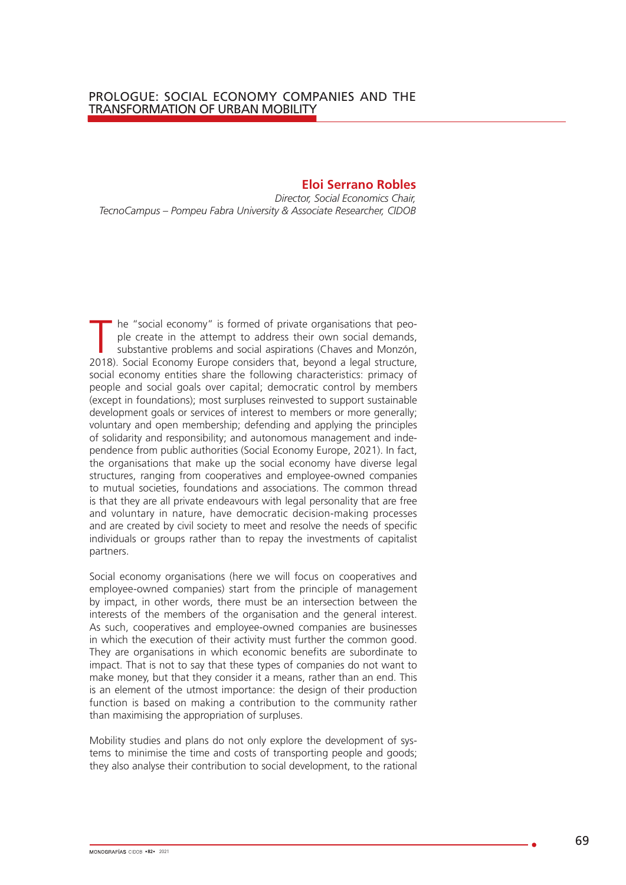## **Eloi Serrano Robles**

*Director, Social Economics Chair, TecnoCampus – Pompeu Fabra University & Associate Researcher, CIDOB*

The "social economy" is formed of private organisations that peo-<br>ple create in the attempt to address their own social demands,<br>substantive problems and social aspirations (Chaves and Monzón,<br>2018). Social Economy Europe ple create in the attempt to address their own social demands, substantive problems and social aspirations (Chaves and Monzón, 2018). Social Economy Europe considers that, beyond a legal structure, social economy entities share the following characteristics: primacy of people and social goals over capital; democratic control by members (except in foundations); most surpluses reinvested to support sustainable development goals or services of interest to members or more generally; voluntary and open membership; defending and applying the principles of solidarity and responsibility; and autonomous management and independence from public authorities (Social Economy Europe, 2021). In fact, the organisations that make up the social economy have diverse legal structures, ranging from cooperatives and employee-owned companies to mutual societies, foundations and associations. The common thread is that they are all private endeavours with legal personality that are free and voluntary in nature, have democratic decision-making processes and are created by civil society to meet and resolve the needs of specific individuals or groups rather than to repay the investments of capitalist partners.

Social economy organisations (here we will focus on cooperatives and employee-owned companies) start from the principle of management by impact, in other words, there must be an intersection between the interests of the members of the organisation and the general interest. As such, cooperatives and employee-owned companies are businesses in which the execution of their activity must further the common good. They are organisations in which economic benefits are subordinate to impact. That is not to say that these types of companies do not want to make money, but that they consider it a means, rather than an end. This is an element of the utmost importance: the design of their production function is based on making a contribution to the community rather than maximising the appropriation of surpluses.

Mobility studies and plans do not only explore the development of systems to minimise the time and costs of transporting people and goods; they also analyse their contribution to social development, to the rational